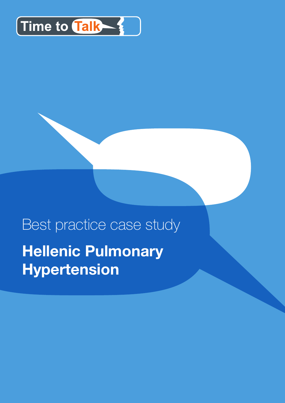

# Best practice case study **Hellenic Pulmonary Hypertension**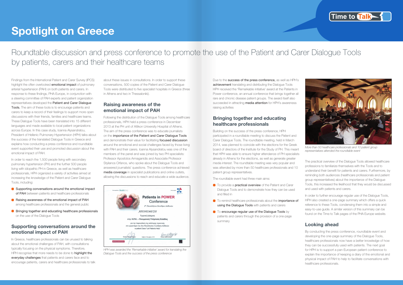## **Spotlight on Greece**

Roundtable discussion and press conference to promote the use of the Patient and Carer Dialogue Tools by patients, carers and their healthcare teams

Findings from the International Patient and Carer Survey (IPCS) highlight the often overlooked **emotional impact** of pulmonary arterial hypertension (PAH) on both patients and carers. In response to these findings, PHA Europe, in conjunction with a steering committee of PAH experts and patient organization representatives developed the Patient and Carer Dialogue Tools. The aim of these tools is to encourage patients and carers to keep a record of their feelings to support more open discussions with their friends, families and healthcare teams. These Dialogue Tools have been translated into 15 different languages and made available to local patient organizations across Europe. In this case study, Ioanna Alysandratou, President of Hellenic Pulmonary Hypertension (HPH) talks about the success of the translated Dialogue Tools in Greece and explains how conducting a press conference and roundtable event supported their use and promoted discussion about the emotional impact of PAH.

In order to reach the 1,500 people living with secondary pulmonary hypertension (PH) and the further 500 people living with idiopathic PH in Greece, as well as healthcare professionals, HPH organized a variety of activities aimed at increasing the knowledge of the Patient and Carer Dialogue Tools, including:

- Supporting conversations around the emotional impact of PAH between patients and healthcare professionals
- **Raising awareness of the emotional impact of PAH** among healthcare professionals and the general public
- **Bringing together and educating healthcare professionals** on the use of the Dialogue Tools

### **Supporting conversations around the emotional impact of PAH**

Due to the **success of the press conference**, as well as HPH's achievement translating and distributing the Dialogue Tools HPH received the 'Remarkable initiative' award at the Patients in Power conference, an annual conference that brings together all rare and chronic disease patient groups. The award itself also succeeded in attracting **media attention** for HPH's awareness raising activities

In Greece, healthcare professionals can be unused to talking about the emotional challenges of PAH, with consultations typically focusing on the physical symptoms. Therefore, HPH recognise that more needs to be done to highlight the everyday challenges that patients and carers face and to encourage patients, carers and healthcare professionals to talk



*More than 50 healthcare professionals and 10 patient group representatives attended the roundtable event*



*HPH was awarded the 'Remarkable initiative' award for translating the Dialogue Tools and the success of the press conference*

- **To provide a practical overview** of the Patient and Carer Dialogue Tools and to demonstrate how they can be used and filled in
- $\bullet$  To remind healthcare professionals about the importance of using the Dialogue Tools with patients and carers
- **To encourage regular use of the Dialogue Tools** by patients and carers through the provision of a one-page summary



about these issues in consultations. In order to support these conversations, 500 copies of the Patient and Carer Dialogue Tools were distributed to five specialist hospitals in Greece (three in Athens and two in Thessaloniki).

### **Raising awareness of the emotional impact of PAH**

Following the distribution of the Dialogue Tools among healthcare professionals, HPH held a press conference in December 2013 at the PH unit of Attikon University Hospital of Athens. The aim of the press conference was to educate journalists on the importance of the Patient and Carer Dialogue Tools and demonstrate their value for facilitating **focused discussion** around the emotional and social challenges faced by those living with PAH and their carers. Ioanna Alysandratou was one of the members of the panel and was joined by two PH specialists: Professor Apostolos Armaganidis and Associate Professor Stylianos Orfanos, who spoke about the Dialogue Tools and answered journalists' questions. The press conference achieved media coverage in specialist publications and online outlets, allowing the discussions to reach and educate a wide audience.

### **Bringing together and educating healthcare professionals**

Building on the success of the press conference, HPH participated in a roundtable meeting to discuss the Patient and Carer Dialogue Tools. The roundtable meeting, held in March 2014, was planned to coincide with the elections for the Greek board of directors of the Institute for the Study of PH. This meant that HPH was able to ensure higher attendance of PH specialists already in Athens for the elections, as well as generate greater media interest. The roundtable meeting was very popular and was attended by more than 50 healthcare professionals and 10 patient group representatives.

The roundtable event had three main aims:

The practical overview of the Dialogue Tools allowed healthcare professions to familiarize themselves with the Tools and to understand their benefit for patients and carers. Furthermore, by reminding both audiences (healthcare professionals and patient group representatives) about the importance of the Dialogue Tools, this increased the likelihood that they would be discussed and used with patients and carers.

In order to further encourage regular use of the Dialogue Tools, HPH also created a one-page summary which offers a quick reference to these Tools, condensing them into a simple and easy-to-use guide. A similar version of this summary can be found on the Time to Talk pages of the PHA Europe website.

### **Looking ahead**

By conducting the press conference, roundtable event and developing the one-page summary of the Dialogue Tools, healthcare professionals now have a better knowledge of how they can be successfully used with patients. The next goal for HPH is to support a pan-European patient conference to explain the importance of keeping a diary of the emotional and physical impact of PAH to help to facilitate conversations with healthcare professionals.